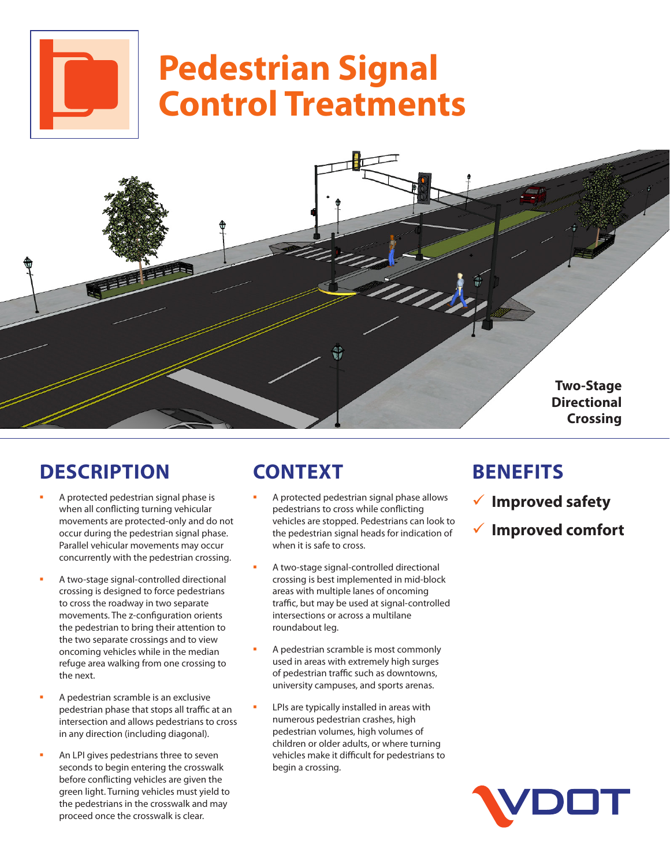# **Pedestrian Signal Control Treatments**



## **DESCRIPTION**

- A protected pedestrian signal phase is when all conflicting turning vehicular movements are protected-only and do not occur during the pedestrian signal phase. Parallel vehicular movements may occur concurrently with the pedestrian crossing.
- A two-stage signal-controlled directional crossing is designed to force pedestrians to cross the roadway in two separate movements. The z-configuration orients the pedestrian to bring their attention to the two separate crossings and to view oncoming vehicles while in the median refuge area walking from one crossing to the next.
- A pedestrian scramble is an exclusive pedestrian phase that stops all traffic at an intersection and allows pedestrians to cross in any direction (including diagonal).
- An LPI gives pedestrians three to seven seconds to begin entering the crosswalk before conflicting vehicles are given the green light. Turning vehicles must yield to the pedestrians in the crosswalk and may proceed once the crosswalk is clear.

# **CONTEXT**

- A protected pedestrian signal phase allows pedestrians to cross while conflicting vehicles are stopped. Pedestrians can look to the pedestrian signal heads for indication of when it is safe to cross.
- A two-stage signal-controlled directional crossing is best implemented in mid-block areas with multiple lanes of oncoming traffic, but may be used at signal-controlled intersections or across a multilane roundabout leg.
- A pedestrian scramble is most commonly used in areas with extremely high surges of pedestrian traffic such as downtowns, university campuses, and sports arenas.
- LPIs are typically installed in areas with numerous pedestrian crashes, high pedestrian volumes, high volumes of children or older adults, or where turning vehicles make it difficult for pedestrians to begin a crossing.

### **BENEFITS**

- 9 **Improved safety**
- 9 **Improved comfort**